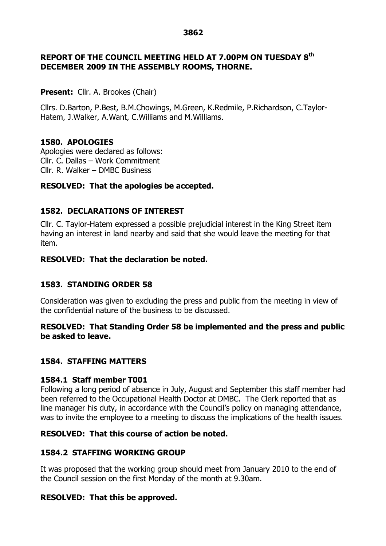#### **3862**

## **REPORT OF THE COUNCIL MEETING HELD AT 7.00PM ON TUESDAY 8 th DECEMBER 2009 IN THE ASSEMBLY ROOMS, THORNE.**

#### **Present:** Cllr. A. Brookes (Chair)

Cllrs. D.Barton, P.Best, B.M.Chowings, M.Green, K.Redmile, P.Richardson, C.Taylor-Hatem, J.Walker, A.Want, C.Williams and M.Williams.

## **1580. APOLOGIES**

Apologies were declared as follows: Cllr. C. Dallas –Work Commitment Cllr. R. Walker –DMBC Business

## **RESOLVED: That the apologies be accepted.**

## **1582. DECLARATIONS OF INTEREST**

Cllr. C. Taylor-Hatem expressed a possible prejudicial interest in the King Street item having an interest in land nearby and said that she would leave the meeting for that item.

## **RESOLVED: That the declaration be noted.**

## **1583. STANDING ORDER 58**

Consideration was given to excluding the press and public from the meeting in view of the confidential nature of the business to be discussed.

## **RESOLVED: That Standing Order 58 be implemented and the press and public be asked to leave.**

## **1584. STAFFING MATTERS**

## **1584.1 Staff member T001**

Following a long period of absence in July, August and September this staff member had been referred to the Occupational Health Doctor at DMBC. The Clerk reported that as line manager his duty, in accordance with the Council's policy on managing attendance, was to invite the employee to a meeting to discuss the implications of the health issues.

## **RESOLVED: That this course of action be noted.**

## **1584.2 STAFFING WORKING GROUP**

It was proposed that the working group should meet from January 2010 to the end of the Council session on the first Monday of the month at 9.30am.

## **RESOLVED: That this be approved.**